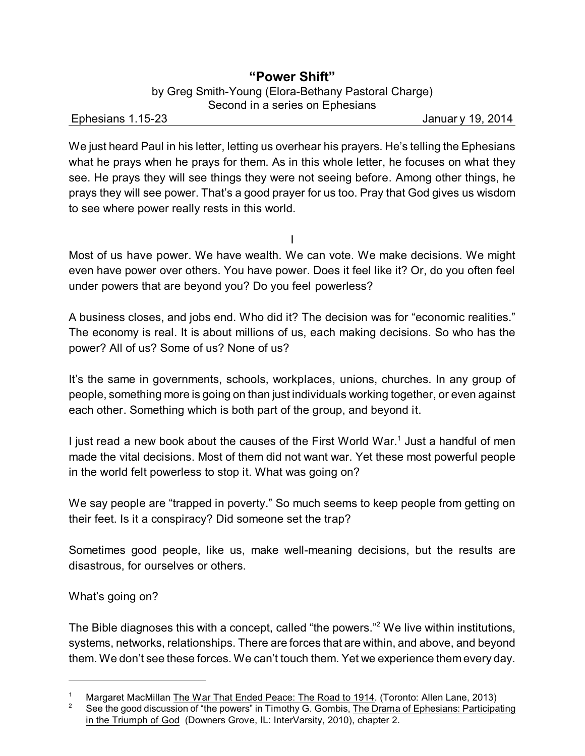# **"Power Shift"**

by Greg Smith-Young (Elora-Bethany Pastoral Charge) Second in a series on Ephesians

Ephesians 1.15-23 Januar y 19, 2014

We just heard Paul in his letter, letting us overhear his prayers. He's telling the Ephesians what he prays when he prays for them. As in this whole letter, he focuses on what they see. He prays they will see things they were not seeing before. Among other things, he prays they will see power. That's a good prayer for us too. Pray that God gives us wisdom to see where power really rests in this world.

I

Most of us have power. We have wealth. We can vote. We make decisions. We might even have power over others. You have power. Does it feel like it? Or, do you often feel under powers that are beyond you? Do you feel powerless?

A business closes, and jobs end. Who did it? The decision was for "economic realities." The economy is real. It is about millions of us, each making decisions. So who has the power? All of us? Some of us? None of us?

It's the same in governments, schools, workplaces, unions, churches. In any group of people, something more is going on than just individuals working together, or even against each other. Something which is both part of the group, and beyond it.

I just read a new book about the causes of the First World War.<sup>1</sup> Just a handful of men made the vital decisions. Most of them did not want war. Yet these most powerful people in the world felt powerless to stop it. What was going on?

We say people are "trapped in poverty." So much seems to keep people from getting on their feet. Is it a conspiracy? Did someone set the trap?

Sometimes good people, like us, make well-meaning decisions, but the results are disastrous, for ourselves or others.

What's going on?

The Bible diagnoses this with a concept, called "the powers."<sup>2</sup> We live within institutions, systems, networks, relationships. There are forces that are within, and above, and beyond them. We don't see these forces. We can't touch them. Yet we experience them every day.

<sup>&</sup>lt;sup>1</sup> Margaret MacMillan The War That Ended Peace: The Road to 1914. (Toronto: Allen Lane, 2013)<br><sup>2</sup> See the good discussion of "the powers" in Timethy G. Combis. The Drama of Enhesians: Particina

See the good discussion of "the powers" in Timothy G. Gombis, The Drama of Ephesians: Participating in the Triumph of God (Downers Grove, IL: InterVarsity, 2010), chapter 2.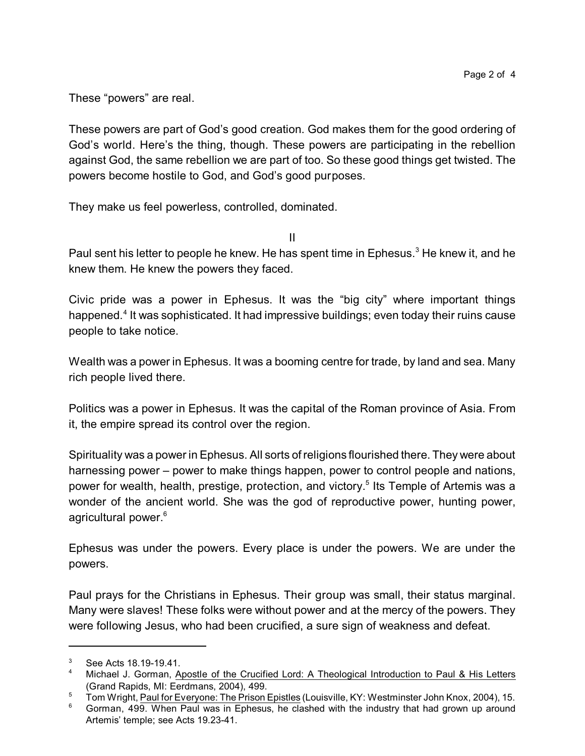These "powers" are real.

These powers are part of God's good creation. God makes them for the good ordering of God's world. Here's the thing, though. These powers are participating in the rebellion against God, the same rebellion we are part of too. So these good things get twisted. The powers become hostile to God, and God's good purposes.

They make us feel powerless, controlled, dominated.

II

Paul sent his letter to people he knew. He has spent time in Ephesus.<sup>3</sup> He knew it, and he knew them. He knew the powers they faced.

Civic pride was a power in Ephesus. It was the "big city" where important things happened.<sup>4</sup> It was sophisticated. It had impressive buildings; even today their ruins cause people to take notice.

Wealth was a power in Ephesus. It was a booming centre for trade, by land and sea. Many rich people lived there.

Politics was a power in Ephesus. It was the capital of the Roman province of Asia. From it, the empire spread its control over the region.

Spirituality was a power in Ephesus. All sorts of religions flourished there. They were about harnessing power – power to make things happen, power to control people and nations, power for wealth, health, prestige, protection, and victory. 5 Its Temple of Artemis was a wonder of the ancient world. She was the god of reproductive power, hunting power, agricultural power. 6

Ephesus was under the powers. Every place is under the powers. We are under the powers.

Paul prays for the Christians in Ephesus. Their group was small, their status marginal. Many were slaves! These folks were without power and at the mercy of the powers. They were following Jesus, who had been crucified, a sure sign of weakness and defeat.

<sup>3</sup> See Acts 18.19-19.41.

<sup>&</sup>lt;sup>4</sup> Michael J. Gorman, Apostle of the Crucified Lord: A Theological Introduction to Paul & His Letters (Grand Rapids, MI: Eerdmans, 2004), 499.

<sup>&</sup>lt;sup>5</sup> Tom Wright, Paul for Everyone: The Prison Epistles (Louisville, KY: Westminster John Knox, 2004), 15.

 $6$  Gorman, 499. When Paul was in Ephesus, he clashed with the industry that had grown up around Artemis' temple; see Acts 19.23-41.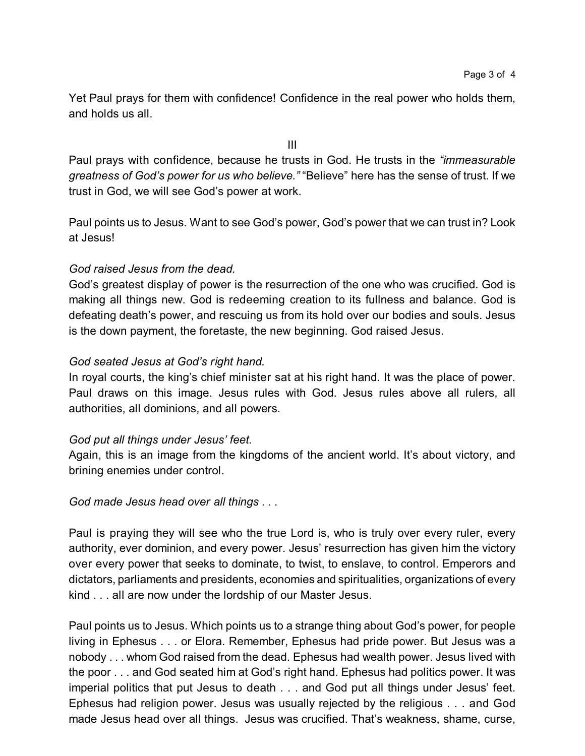Yet Paul prays for them with confidence! Confidence in the real power who holds them, and holds us all.

III

Paul prays with confidence, because he trusts in God. He trusts in the *"immeasurable greatness of God's power for us who believe."* "Believe" here has the sense of trust. If we trust in God, we will see God's power at work.

Paul points us to Jesus. Want to see God's power, God's power that we can trust in? Look at Jesus!

### *God raised Jesus from the dead.*

God's greatest display of power is the resurrection of the one who was crucified. God is making all things new. God is redeeming creation to its fullness and balance. God is defeating death's power, and rescuing us from its hold over our bodies and souls. Jesus is the down payment, the foretaste, the new beginning. God raised Jesus.

### *God seated Jesus at God's right hand.*

In royal courts, the king's chief minister sat at his right hand. It was the place of power. Paul draws on this image. Jesus rules with God. Jesus rules above all rulers, all authorities, all dominions, and all powers.

# *God put all things under Jesus' feet.*

Again, this is an image from the kingdoms of the ancient world. It's about victory, and brining enemies under control.

# *God made Jesus head over all things . . .*

Paul is praying they will see who the true Lord is, who is truly over every ruler, every authority, ever dominion, and every power. Jesus' resurrection has given him the victory over every power that seeks to dominate, to twist, to enslave, to control. Emperors and dictators, parliaments and presidents, economies and spiritualities, organizations of every kind . . . all are now under the lordship of our Master Jesus.

Paul points us to Jesus. Which points us to a strange thing about God's power, for people living in Ephesus . . . or Elora. Remember, Ephesus had pride power. But Jesus was a nobody . . . whom God raised from the dead. Ephesus had wealth power. Jesus lived with the poor . . . and God seated him at God's right hand. Ephesus had politics power. It was imperial politics that put Jesus to death . . . and God put all things under Jesus' feet. Ephesus had religion power. Jesus was usually rejected by the religious . . . and God made Jesus head over all things. Jesus was crucified. That's weakness, shame, curse,